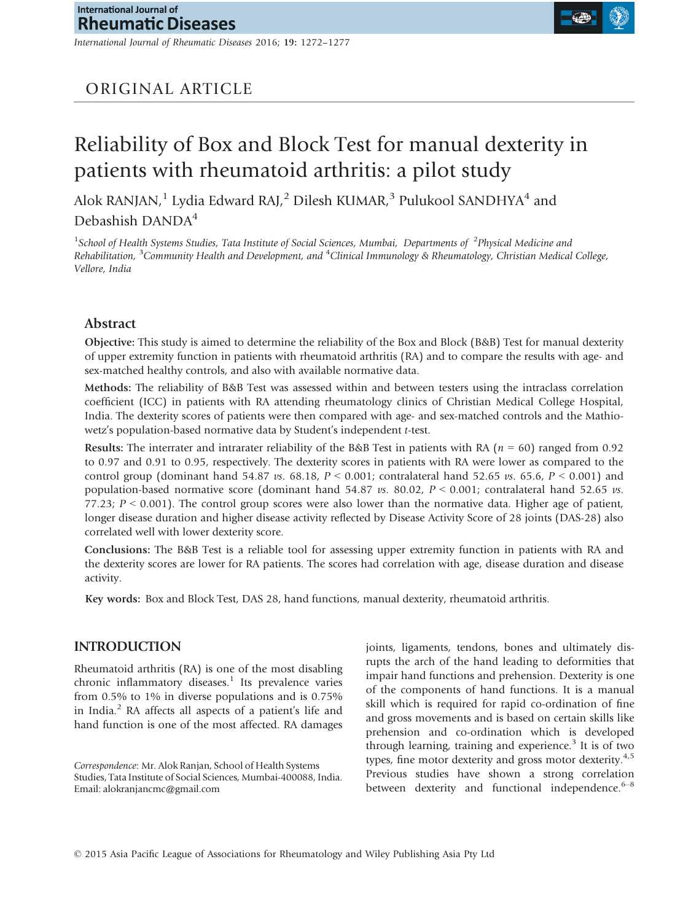*International Journal of Rheumatic Diseases* 2016; 19: 1272–1277

# Reliability of Box and Block Test for manual dexterity in patients with rheumatoid arthritis: a pilot study

Alok RANJAN,<sup>1</sup> Lydia Edward RAJ,<sup>2</sup> Dilesh KUMAR,<sup>3</sup> Pulukool SANDHYA<sup>4</sup> and Debashish DANDA<sup>4</sup>

<sup>1</sup> School of Health Systems Studies, Tata Institute of Social Sciences, Mumbai, Departments of <sup>2</sup>Physical Medicine and *Rehabilitation,* <sup>3</sup>*Community Health and Development, and* <sup>4</sup>*Clinical Immunology & Rheumatology, Christian Medical College, Vellore, India*

## Abstract

Objective: This study is aimed to determine the reliability of the Box and Block (B&B) Test for manual dexterity of upper extremity function in patients with rheumatoid arthritis (RA) and to compare the results with age- and sex-matched healthy controls, and also with available normative data.

Methods: The reliability of B&B Test was assessed within and between testers using the intraclass correlation coefficient (ICC) in patients with RA attending rheumatology clinics of Christian Medical College Hospital, India. The dexterity scores of patients were then compared with age- and sex-matched controls and the Mathiowetz's population-based normative data by Student's independent *t*-test.

Results: The interrater and intrarater reliability of the B&B Test in patients with RA (*n* = 60) ranged from 0.92 to 0.97 and 0.91 to 0.95, respectively. The dexterity scores in patients with RA were lower as compared to the control group (dominant hand 54.87 *vs*. 68.18, *P* < 0.001; contralateral hand 52.65 *vs*. 65.6, *P* < 0.001) and population-based normative score (dominant hand 54.87 *vs*. 80.02, *P* < 0.001; contralateral hand 52.65 *vs*. 77.23;  $P < 0.001$ ). The control group scores were also lower than the normative data. Higher age of patient, longer disease duration and higher disease activity reflected by Disease Activity Score of 28 joints (DAS-28) also correlated well with lower dexterity score.

Conclusions: The B&B Test is a reliable tool for assessing upper extremity function in patients with RA and the dexterity scores are lower for RA patients. The scores had correlation with age, disease duration and disease activity.

Key words: Box and Block Test, DAS 28, hand functions, manual dexterity, rheumatoid arthritis.

## INTRODUCTION

Rheumatoid arthritis (RA) is one of the most disabling chronic inflammatory diseases.<sup>1</sup> Its prevalence varies from 0.5% to 1% in diverse populations and is 0.75% in India.<sup>2</sup> RA affects all aspects of a patient's life and hand function is one of the most affected. RA damages

*Correspondence*: Mr. Alok Ranjan, School of Health Systems Studies, Tata Institute of Social Sciences, Mumbai-400088, India. Email: alokranjancmc@gmail.com

joints, ligaments, tendons, bones and ultimately disrupts the arch of the hand leading to deformities that impair hand functions and prehension. Dexterity is one of the components of hand functions. It is a manual skill which is required for rapid co-ordination of fine and gross movements and is based on certain skills like prehension and co-ordination which is developed through learning, training and experience.<sup>3</sup> It is of two types, fine motor dexterity and gross motor dexterity. $4.5$ Previous studies have shown a strong correlation between dexterity and functional independence. $6-8$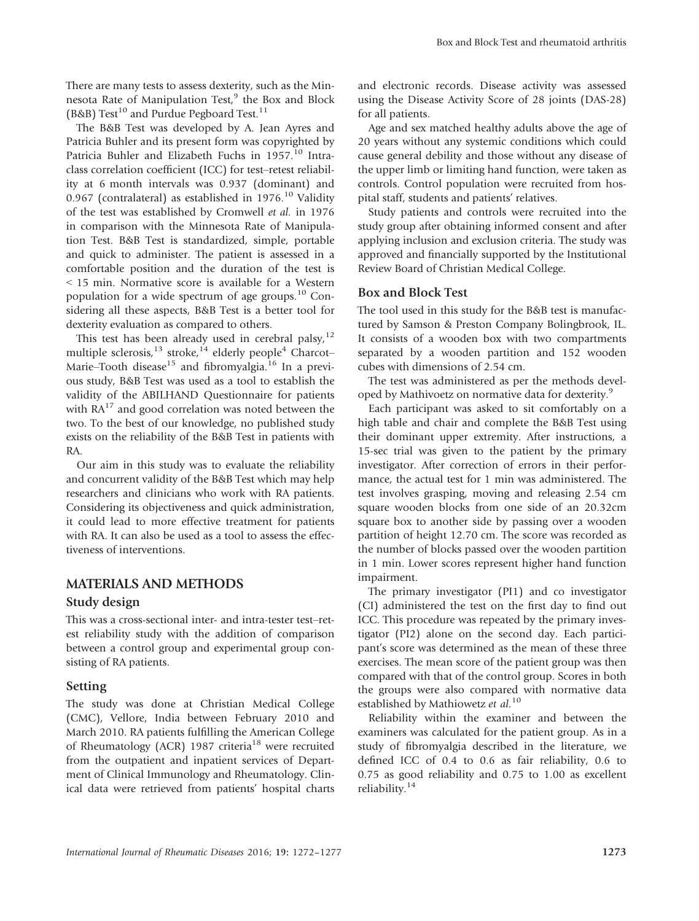There are many tests to assess dexterity, such as the Minnesota Rate of Manipulation Test,<sup>9</sup> the Box and Block (B&B) Test<sup>10</sup> and Purdue Pegboard Test.<sup>11</sup>

The B&B Test was developed by A. Jean Ayres and Patricia Buhler and its present form was copyrighted by Patricia Buhler and Elizabeth Fuchs in 1957.<sup>10</sup> Intraclass correlation coefficient (ICC) for test–retest reliability at 6 month intervals was 0.937 (dominant) and 0.967 (contralateral) as established in  $1976$ <sup>10</sup> Validity of the test was established by Cromwell *et al.* in 1976 in comparison with the Minnesota Rate of Manipulation Test. B&B Test is standardized, simple, portable and quick to administer. The patient is assessed in a comfortable position and the duration of the test is < 15 min. Normative score is available for a Western population for a wide spectrum of age groups.<sup>10</sup> Considering all these aspects, B&B Test is a better tool for dexterity evaluation as compared to others.

This test has been already used in cerebral palsy, $12$ multiple sclerosis,<sup>13</sup> stroke,<sup>14</sup> elderly people<sup>4</sup> Charcot– Marie–Tooth disease<sup>15</sup> and fibromyalgia.<sup>16</sup> In a previous study, B&B Test was used as a tool to establish the validity of the ABILHAND Questionnaire for patients with  $RA^{17}$  and good correlation was noted between the two. To the best of our knowledge, no published study exists on the reliability of the B&B Test in patients with RA.

Our aim in this study was to evaluate the reliability and concurrent validity of the B&B Test which may help researchers and clinicians who work with RA patients. Considering its objectiveness and quick administration, it could lead to more effective treatment for patients with RA. It can also be used as a tool to assess the effectiveness of interventions.

## MATERIALS AND METHODS

#### Study design

This was a cross-sectional inter- and intra-tester test–retest reliability study with the addition of comparison between a control group and experimental group consisting of RA patients.

#### Setting

The study was done at Christian Medical College (CMC), Vellore, India between February 2010 and March 2010. RA patients fulfilling the American College of Rheumatology (ACR) 1987 criteria<sup>18</sup> were recruited from the outpatient and inpatient services of Department of Clinical Immunology and Rheumatology. Clinical data were retrieved from patients' hospital charts and electronic records. Disease activity was assessed using the Disease Activity Score of 28 joints (DAS-28) for all patients.

Age and sex matched healthy adults above the age of 20 years without any systemic conditions which could cause general debility and those without any disease of the upper limb or limiting hand function, were taken as controls. Control population were recruited from hospital staff, students and patients' relatives.

Study patients and controls were recruited into the study group after obtaining informed consent and after applying inclusion and exclusion criteria. The study was approved and financially supported by the Institutional Review Board of Christian Medical College.

#### Box and Block Test

The tool used in this study for the B&B test is manufactured by Samson & Preston Company Bolingbrook, IL. It consists of a wooden box with two compartments separated by a wooden partition and 152 wooden cubes with dimensions of 2.54 cm.

The test was administered as per the methods developed by Mathivoetz on normative data for dexterity.<sup>9</sup>

Each participant was asked to sit comfortably on a high table and chair and complete the B&B Test using their dominant upper extremity. After instructions, a 15-sec trial was given to the patient by the primary investigator. After correction of errors in their performance, the actual test for 1 min was administered. The test involves grasping, moving and releasing 2.54 cm square wooden blocks from one side of an 20.32cm square box to another side by passing over a wooden partition of height 12.70 cm. The score was recorded as the number of blocks passed over the wooden partition in 1 min. Lower scores represent higher hand function impairment.

The primary investigator (PI1) and co investigator (CI) administered the test on the first day to find out ICC. This procedure was repeated by the primary investigator (PI2) alone on the second day. Each participant's score was determined as the mean of these three exercises. The mean score of the patient group was then compared with that of the control group. Scores in both the groups were also compared with normative data established by Mathiowetz *et al.*<sup>10</sup>

Reliability within the examiner and between the examiners was calculated for the patient group. As in a study of fibromyalgia described in the literature, we defined ICC of 0.4 to 0.6 as fair reliability, 0.6 to 0.75 as good reliability and 0.75 to 1.00 as excellent reliability.<sup>14</sup>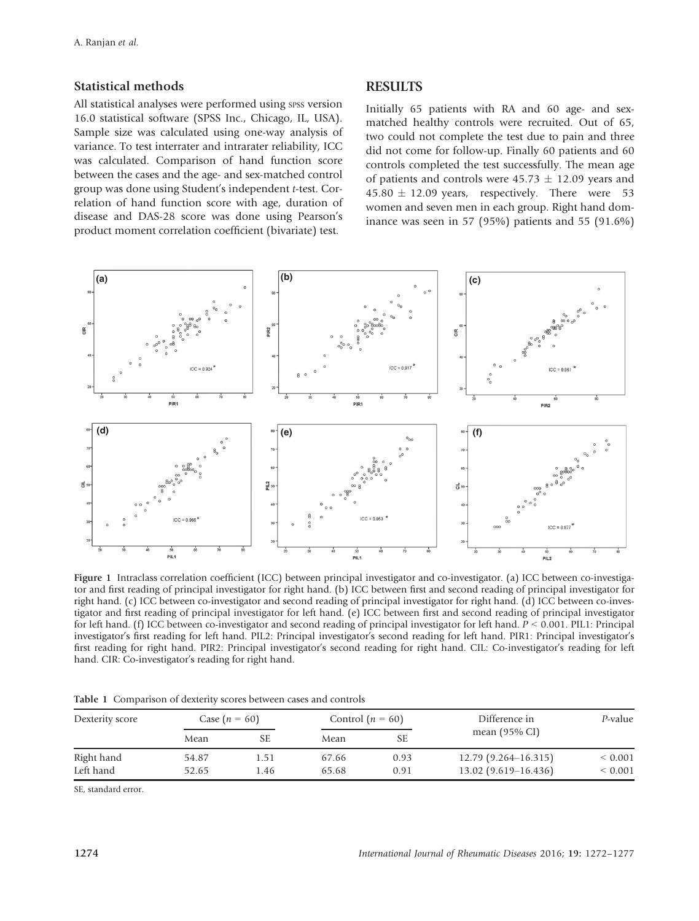#### Statistical methods

All statistical analyses were performed using spss version 16.0 statistical software (SPSS Inc., Chicago, IL, USA). Sample size was calculated using one-way analysis of variance. To test interrater and intrarater reliability, ICC was calculated. Comparison of hand function score between the cases and the age- and sex-matched control group was done using Student's independent *t*-test. Correlation of hand function score with age, duration of disease and DAS-28 score was done using Pearson's product moment correlation coefficient (bivariate) test.

#### **RESULTS**

Initially 65 patients with RA and 60 age- and sexmatched healthy controls were recruited. Out of 65, two could not complete the test due to pain and three did not come for follow-up. Finally 60 patients and 60 controls completed the test successfully. The mean age of patients and controls were  $45.73 \pm 12.09$  years and  $45.80 \pm 12.09$  years, respectively. There were 53 women and seven men in each group. Right hand dominance was seen in 57 (95%) patients and 55 (91.6%)



Figure 1 Intraclass correlation coefficient (ICC) between principal investigator and co-investigator. (a) ICC between co-investigator and first reading of principal investigator for right hand. (b) ICC between first and second reading of principal investigator for right hand. (c) ICC between co-investigator and second reading of principal investigator for right hand. (d) ICC between co-investigator and first reading of principal investigator for left hand. (e) ICC between first and second reading of principal investigator for left hand. (f) ICC between co-investigator and second reading of principal investigator for left hand. *P* < 0.001. PIL1: Principal investigator's first reading for left hand. PIL2: Principal investigator's second reading for left hand. PIR1: Principal investigator's first reading for right hand. PIR2: Principal investigator's second reading for right hand. CIL: Co-investigator's reading for left hand. CIR: Co-investigator's reading for right hand.

| Dexterity score | Case $(n = 60)$ |     | Control $(n = 60)$ |           | Difference in            | P-value     |
|-----------------|-----------------|-----|--------------------|-----------|--------------------------|-------------|
|                 | Mean            | SЕ  | Mean               | <b>SE</b> | mean $(95\% \text{ CI})$ |             |
| Right hand      | 54.87           | .51 | 67.66              | 0.93      | $12.79(9.264 - 16.315)$  | ${}< 0.001$ |
| Left hand       | 52.65           | .46 | 65.68              | 0.91      | $13.02(9.619 - 16.436)$  | ${}< 0.001$ |

Table 1 Comparison of dexterity scores between cases and controls

SE, standard error.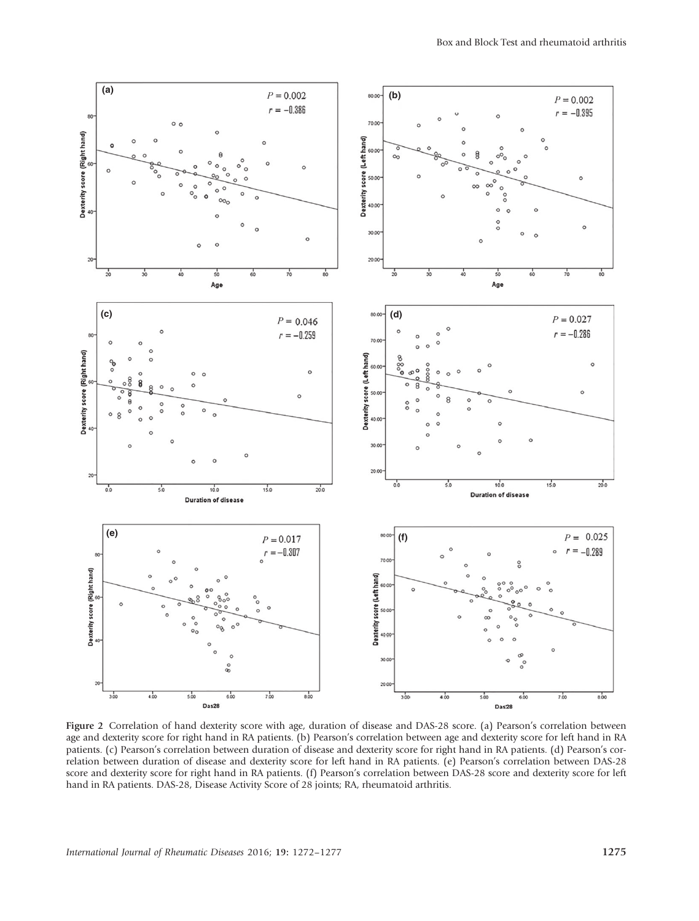

Figure 2 Correlation of hand dexterity score with age, duration of disease and DAS-28 score. (a) Pearson's correlation between age and dexterity score for right hand in RA patients. (b) Pearson's correlation between age and dexterity score for left hand in RA patients. (c) Pearson's correlation between duration of disease and dexterity score for right hand in RA patients. (d) Pearson's correlation between duration of disease and dexterity score for left hand in RA patients. (e) Pearson's correlation between DAS-28 score and dexterity score for right hand in RA patients. (f) Pearson's correlation between DAS-28 score and dexterity score for left hand in RA patients. DAS-28, Disease Activity Score of 28 joints; RA, rheumatoid arthritis.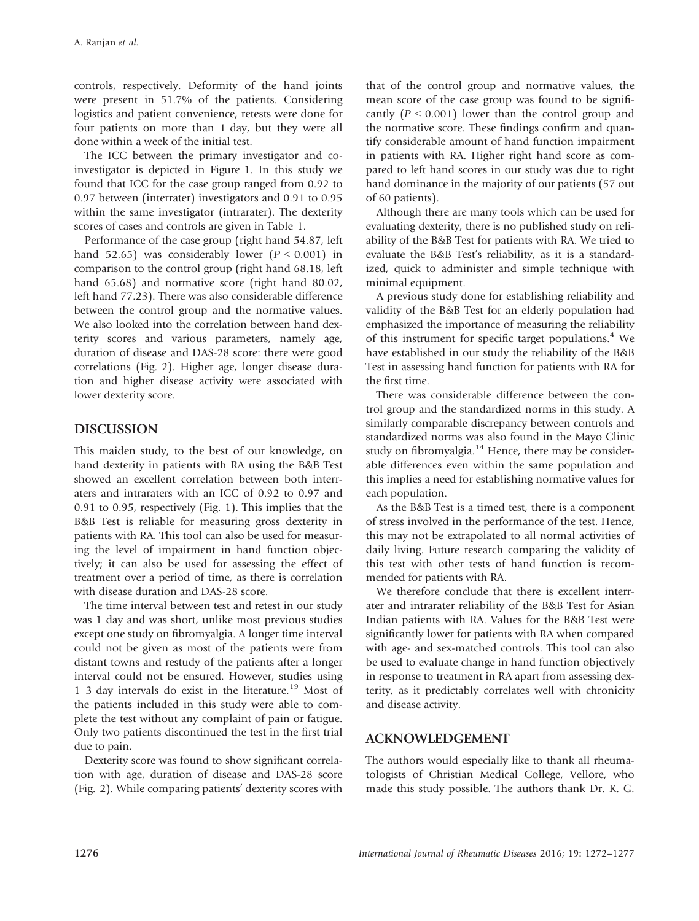controls, respectively. Deformity of the hand joints were present in 51.7% of the patients. Considering logistics and patient convenience, retests were done for four patients on more than 1 day, but they were all done within a week of the initial test.

The ICC between the primary investigator and coinvestigator is depicted in Figure 1. In this study we found that ICC for the case group ranged from 0.92 to 0.97 between (interrater) investigators and 0.91 to 0.95 within the same investigator (intrarater). The dexterity scores of cases and controls are given in Table 1.

Performance of the case group (right hand 54.87, left hand 52.65) was considerably lower  $(P < 0.001)$  in comparison to the control group (right hand 68.18, left hand 65.68) and normative score (right hand 80.02, left hand 77.23). There was also considerable difference between the control group and the normative values. We also looked into the correlation between hand dexterity scores and various parameters, namely age, duration of disease and DAS-28 score: there were good correlations (Fig. 2). Higher age, longer disease duration and higher disease activity were associated with lower dexterity score.

# DISCUSSION

This maiden study, to the best of our knowledge, on hand dexterity in patients with RA using the B&B Test showed an excellent correlation between both interraters and intraraters with an ICC of 0.92 to 0.97 and 0.91 to 0.95, respectively (Fig. 1). This implies that the B&B Test is reliable for measuring gross dexterity in patients with RA. This tool can also be used for measuring the level of impairment in hand function objectively; it can also be used for assessing the effect of treatment over a period of time, as there is correlation with disease duration and DAS-28 score.

The time interval between test and retest in our study was 1 day and was short, unlike most previous studies except one study on fibromyalgia. A longer time interval could not be given as most of the patients were from distant towns and restudy of the patients after a longer interval could not be ensured. However, studies using 1–3 day intervals do exist in the literature.<sup>19</sup> Most of the patients included in this study were able to complete the test without any complaint of pain or fatigue. Only two patients discontinued the test in the first trial due to pain.

Dexterity score was found to show significant correlation with age, duration of disease and DAS-28 score (Fig. 2). While comparing patients' dexterity scores with that of the control group and normative values, the mean score of the case group was found to be significantly  $(P < 0.001)$  lower than the control group and the normative score. These findings confirm and quantify considerable amount of hand function impairment in patients with RA. Higher right hand score as compared to left hand scores in our study was due to right hand dominance in the majority of our patients (57 out of 60 patients).

Although there are many tools which can be used for evaluating dexterity, there is no published study on reliability of the B&B Test for patients with RA. We tried to evaluate the B&B Test's reliability, as it is a standardized, quick to administer and simple technique with minimal equipment.

A previous study done for establishing reliability and validity of the B&B Test for an elderly population had emphasized the importance of measuring the reliability of this instrument for specific target populations.<sup>4</sup> We have established in our study the reliability of the B&B Test in assessing hand function for patients with RA for the first time.

There was considerable difference between the control group and the standardized norms in this study. A similarly comparable discrepancy between controls and standardized norms was also found in the Mayo Clinic study on fibromyalgia. $14$  Hence, there may be considerable differences even within the same population and this implies a need for establishing normative values for each population.

As the B&B Test is a timed test, there is a component of stress involved in the performance of the test. Hence, this may not be extrapolated to all normal activities of daily living. Future research comparing the validity of this test with other tests of hand function is recommended for patients with RA.

We therefore conclude that there is excellent interrater and intrarater reliability of the B&B Test for Asian Indian patients with RA. Values for the B&B Test were significantly lower for patients with RA when compared with age- and sex-matched controls. This tool can also be used to evaluate change in hand function objectively in response to treatment in RA apart from assessing dexterity, as it predictably correlates well with chronicity and disease activity.

# ACKNOWLEDGEMENT

The authors would especially like to thank all rheumatologists of Christian Medical College, Vellore, who made this study possible. The authors thank Dr. K. G.